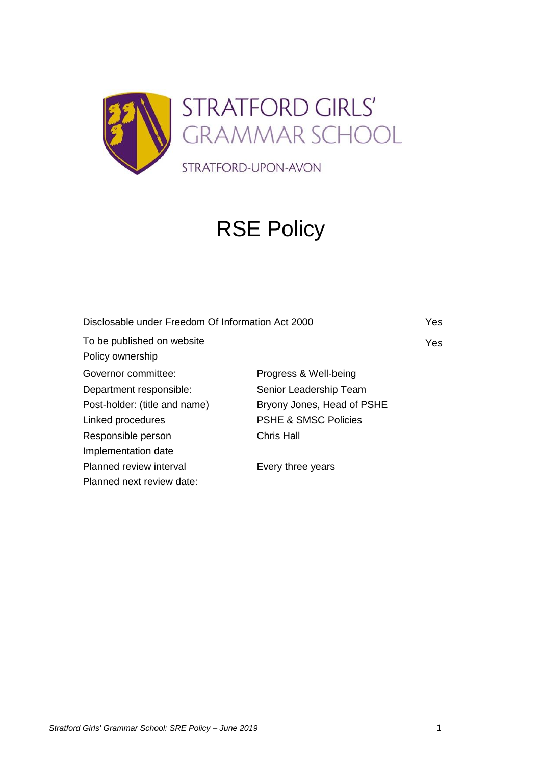

# RSE Policy

| Disclosable under Freedom Of Information Act 2000 |                                 | Yes |
|---------------------------------------------------|---------------------------------|-----|
| To be published on website                        |                                 | Yes |
| Policy ownership                                  |                                 |     |
| Governor committee:                               | Progress & Well-being           |     |
| Department responsible:                           | Senior Leadership Team          |     |
| Post-holder: (title and name)                     | Bryony Jones, Head of PSHE      |     |
| Linked procedures                                 | <b>PSHE &amp; SMSC Policies</b> |     |
| Responsible person                                | <b>Chris Hall</b>               |     |
| Implementation date                               |                                 |     |
| Planned review interval                           | Every three years               |     |
| Planned next review date:                         |                                 |     |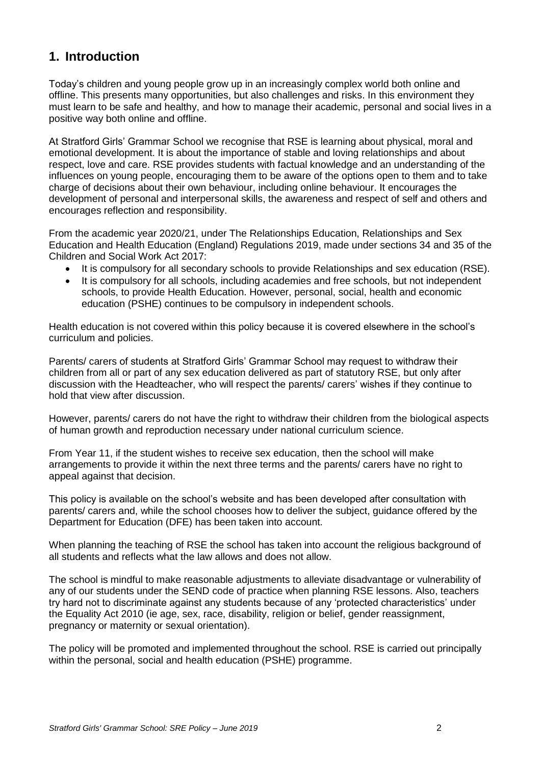# **1. Introduction**

Today's children and young people grow up in an increasingly complex world both online and offline. This presents many opportunities, but also challenges and risks. In this environment they must learn to be safe and healthy, and how to manage their academic, personal and social lives in a positive way both online and offline.

At Stratford Girls' Grammar School we recognise that RSE is learning about physical, moral and emotional development. It is about the importance of stable and loving relationships and about respect, love and care. RSE provides students with factual knowledge and an understanding of the influences on young people, encouraging them to be aware of the options open to them and to take charge of decisions about their own behaviour, including online behaviour. It encourages the development of personal and interpersonal skills, the awareness and respect of self and others and encourages reflection and responsibility.

From the academic year 2020/21, under The Relationships Education, Relationships and Sex Education and Health Education (England) Regulations 2019, made under sections 34 and 35 of the Children and Social Work Act 2017:

- It is compulsory for all secondary schools to provide Relationships and sex education (RSE).
- It is compulsory for all schools, including academies and free schools, but not independent schools, to provide Health Education. However, personal, social, health and economic education (PSHE) continues to be compulsory in independent schools.

Health education is not covered within this policy because it is covered elsewhere in the school's curriculum and policies.

Parents/ carers of students at Stratford Girls' Grammar School may request to withdraw their children from all or part of any sex education delivered as part of statutory RSE, but only after discussion with the Headteacher, who will respect the parents/ carers' wishes if they continue to hold that view after discussion.

However, parents/ carers do not have the right to withdraw their children from the biological aspects of human growth and reproduction necessary under national curriculum science.

From Year 11, if the student wishes to receive sex education, then the school will make arrangements to provide it within the next three terms and the parents/ carers have no right to appeal against that decision.

This policy is available on the school's website and has been developed after consultation with parents/ carers and, while the school chooses how to deliver the subject, guidance offered by the Department for Education (DFE) has been taken into account.

When planning the teaching of RSE the school has taken into account the religious background of all students and reflects what the law allows and does not allow.

The school is mindful to make reasonable adjustments to alleviate disadvantage or vulnerability of any of our students under the SEND code of practice when planning RSE lessons. Also, teachers try hard not to discriminate against any students because of any 'protected characteristics' under the Equality Act 2010 (ie age, sex, race, disability, religion or belief, gender reassignment, pregnancy or maternity or sexual orientation).

The policy will be promoted and implemented throughout the school. RSE is carried out principally within the personal, social and health education (PSHE) programme.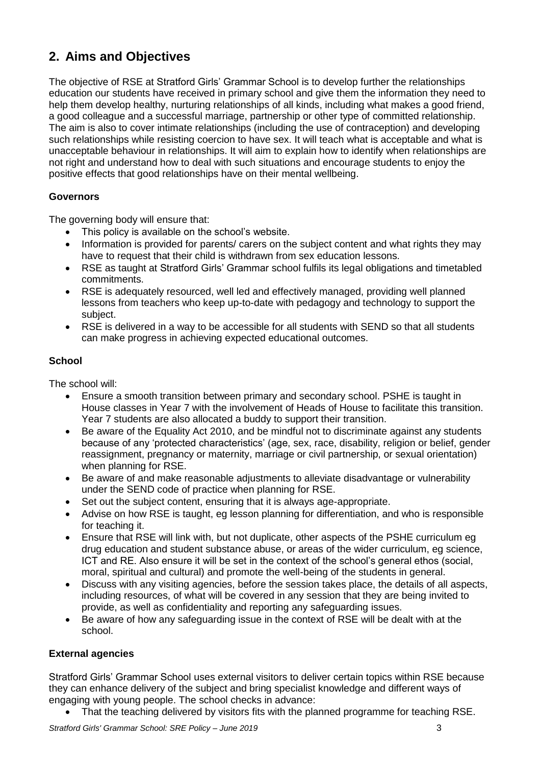# **2. Aims and Objectives**

The objective of RSE at Stratford Girls' Grammar School is to develop further the relationships education our students have received in primary school and give them the information they need to help them develop healthy, nurturing relationships of all kinds, including what makes a good friend, a good colleague and a successful marriage, partnership or other type of committed relationship. The aim is also to cover intimate relationships (including the use of contraception) and developing such relationships while resisting coercion to have sex. It will teach what is acceptable and what is unacceptable behaviour in relationships. It will aim to explain how to identify when relationships are not right and understand how to deal with such situations and encourage students to enjoy the positive effects that good relationships have on their mental wellbeing.

# **Governors**

The governing body will ensure that:

- This policy is available on the school's website.
- Information is provided for parents/ carers on the subject content and what rights they may have to request that their child is withdrawn from sex education lessons.
- RSE as taught at Stratford Girls' Grammar school fulfils its legal obligations and timetabled commitments.
- RSE is adequately resourced, well led and effectively managed, providing well planned lessons from teachers who keep up-to-date with pedagogy and technology to support the subject.
- RSE is delivered in a way to be accessible for all students with SEND so that all students can make progress in achieving expected educational outcomes.

# **School**

The school will:

- Ensure a smooth transition between primary and secondary school. PSHE is taught in House classes in Year 7 with the involvement of Heads of House to facilitate this transition. Year 7 students are also allocated a buddy to support their transition.
- Be aware of the Equality Act 2010, and be mindful not to discriminate against any students because of any 'protected characteristics' (age, sex, race, disability, religion or belief, gender reassignment, pregnancy or maternity, marriage or civil partnership, or sexual orientation) when planning for RSE.
- Be aware of and make reasonable adjustments to alleviate disadvantage or vulnerability under the SEND code of practice when planning for RSE.
- Set out the subject content, ensuring that it is always age-appropriate.
- Advise on how RSE is taught, eg lesson planning for differentiation, and who is responsible for teaching it.
- Ensure that RSE will link with, but not duplicate, other aspects of the PSHE curriculum eg drug education and student substance abuse, or areas of the wider curriculum, eg science, ICT and RE. Also ensure it will be set in the context of the school's general ethos (social, moral, spiritual and cultural) and promote the well-being of the students in general.
- Discuss with any visiting agencies, before the session takes place, the details of all aspects, including resources, of what will be covered in any session that they are being invited to provide, as well as confidentiality and reporting any safeguarding issues.
- Be aware of how any safeguarding issue in the context of RSE will be dealt with at the school.

#### **External agencies**

Stratford Girls' Grammar School uses external visitors to deliver certain topics within RSE because they can enhance delivery of the subject and bring specialist knowledge and different ways of engaging with young people. The school checks in advance:

That the teaching delivered by visitors fits with the planned programme for teaching RSE.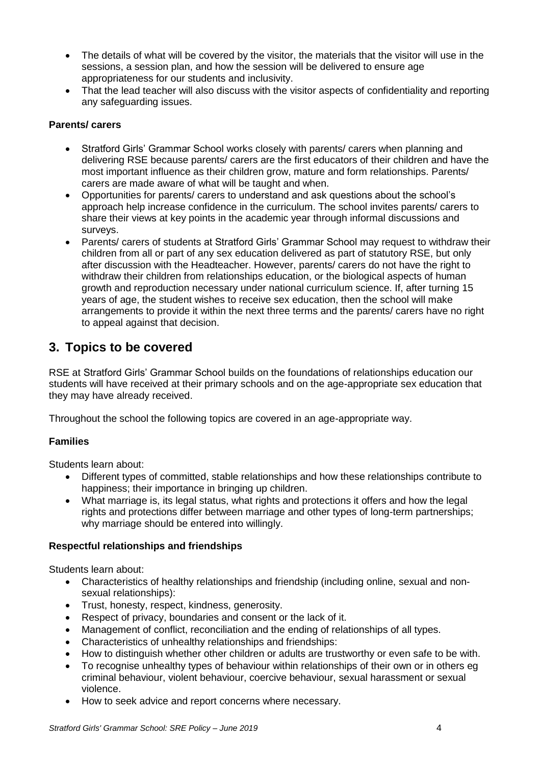- The details of what will be covered by the visitor, the materials that the visitor will use in the sessions, a session plan, and how the session will be delivered to ensure age appropriateness for our students and inclusivity.
- That the lead teacher will also discuss with the visitor aspects of confidentiality and reporting any safeguarding issues.

## **Parents/ carers**

- Stratford Girls' Grammar School works closely with parents/ carers when planning and delivering RSE because parents/ carers are the first educators of their children and have the most important influence as their children grow, mature and form relationships. Parents/ carers are made aware of what will be taught and when.
- Opportunities for parents/ carers to understand and ask questions about the school's approach help increase confidence in the curriculum. The school invites parents/ carers to share their views at key points in the academic year through informal discussions and surveys.
- Parents/ carers of students at Stratford Girls' Grammar School may request to withdraw their children from all or part of any sex education delivered as part of statutory RSE, but only after discussion with the Headteacher. However, parents/ carers do not have the right to withdraw their children from relationships education, or the biological aspects of human growth and reproduction necessary under national curriculum science. If, after turning 15 years of age, the student wishes to receive sex education, then the school will make arrangements to provide it within the next three terms and the parents/ carers have no right to appeal against that decision.

# **3. Topics to be covered**

RSE at Stratford Girls' Grammar School builds on the foundations of relationships education our students will have received at their primary schools and on the age-appropriate sex education that they may have already received.

Throughout the school the following topics are covered in an age-appropriate way.

# **Families**

Students learn about:

- Different types of committed, stable relationships and how these relationships contribute to happiness; their importance in bringing up children.
- What marriage is, its legal status, what rights and protections it offers and how the legal rights and protections differ between marriage and other types of long-term partnerships; why marriage should be entered into willingly.

#### **Respectful relationships and friendships**

Students learn about:

- Characteristics of healthy relationships and friendship (including online, sexual and nonsexual relationships):
- Trust, honesty, respect, kindness, generosity.
- Respect of privacy, boundaries and consent or the lack of it.
- Management of conflict, reconciliation and the ending of relationships of all types.
- Characteristics of unhealthy relationships and friendships:
- How to distinguish whether other children or adults are trustworthy or even safe to be with.
- To recognise unhealthy types of behaviour within relationships of their own or in others eg criminal behaviour, violent behaviour, coercive behaviour, sexual harassment or sexual violence.
- How to seek advice and report concerns where necessary.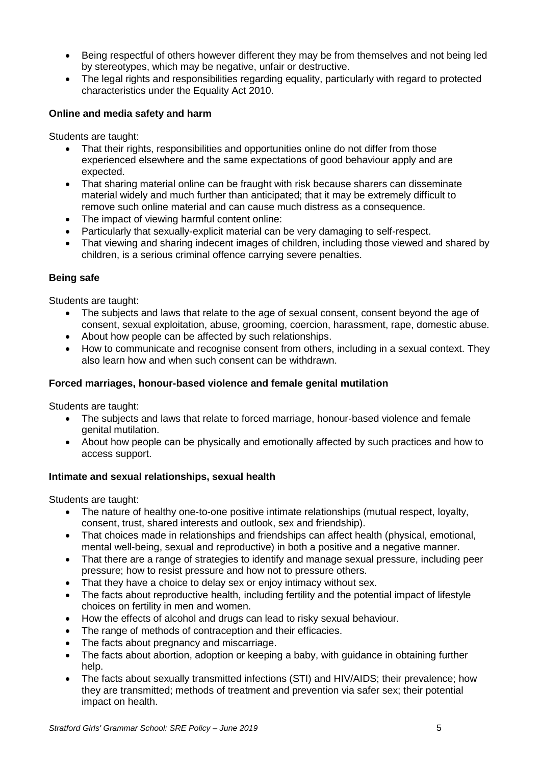- Being respectful of others however different they may be from themselves and not being led by stereotypes, which may be negative, unfair or destructive.
- The legal rights and responsibilities regarding equality, particularly with regard to protected characteristics under the Equality Act 2010.

## **Online and media safety and harm**

Students are taught:

- That their rights, responsibilities and opportunities online do not differ from those experienced elsewhere and the same expectations of good behaviour apply and are expected.
- That sharing material online can be fraught with risk because sharers can disseminate material widely and much further than anticipated; that it may be extremely difficult to remove such online material and can cause much distress as a consequence.
- The impact of viewing harmful content online:
- Particularly that sexually-explicit material can be very damaging to self-respect.
- That viewing and sharing indecent images of children, including those viewed and shared by children, is a serious criminal offence carrying severe penalties.

#### **Being safe**

Students are taught:

- The subjects and laws that relate to the age of sexual consent, consent beyond the age of consent, sexual exploitation, abuse, grooming, coercion, harassment, rape, domestic abuse.
- About how people can be affected by such relationships.
- How to communicate and recognise consent from others, including in a sexual context. They also learn how and when such consent can be withdrawn.

#### **Forced marriages, honour-based violence and female genital mutilation**

Students are taught:

- The subjects and laws that relate to forced marriage, honour-based violence and female genital mutilation.
- About how people can be physically and emotionally affected by such practices and how to access support.

#### **Intimate and sexual relationships, sexual health**

Students are taught:

- The nature of healthy one-to-one positive intimate relationships (mutual respect, loyalty, consent, trust, shared interests and outlook, sex and friendship).
- That choices made in relationships and friendships can affect health (physical, emotional, mental well-being, sexual and reproductive) in both a positive and a negative manner.
- That there are a range of strategies to identify and manage sexual pressure, including peer pressure; how to resist pressure and how not to pressure others.
- That they have a choice to delay sex or enjoy intimacy without sex.
- The facts about reproductive health, including fertility and the potential impact of lifestyle choices on fertility in men and women.
- How the effects of alcohol and drugs can lead to risky sexual behaviour.
- The range of methods of contraception and their efficacies.
- The facts about pregnancy and miscarriage.
- The facts about abortion, adoption or keeping a baby, with quidance in obtaining further help.
- The facts about sexually transmitted infections (STI) and HIV/AIDS; their prevalence; how they are transmitted; methods of treatment and prevention via safer sex; their potential impact on health.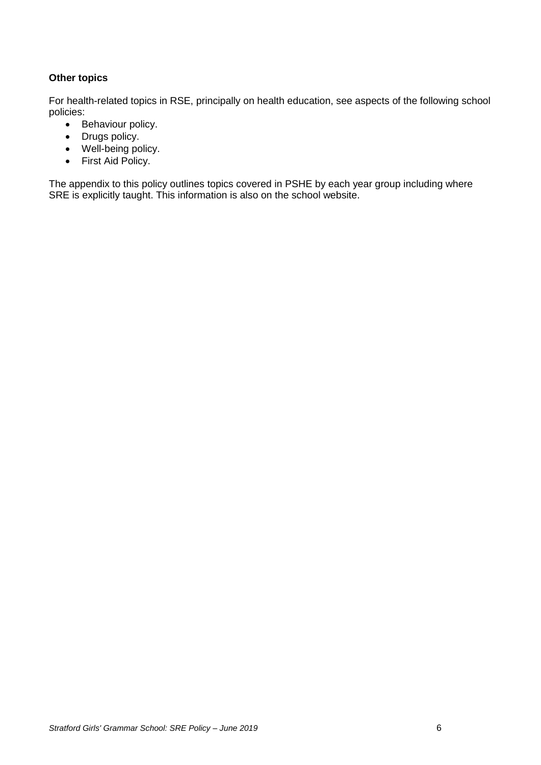# **Other topics**

For health-related topics in RSE, principally on health education, see aspects of the following school policies:

- Behaviour policy.
- Drugs policy.
- Well-being policy.
- First Aid Policy.

The appendix to this policy outlines topics covered in PSHE by each year group including where SRE is explicitly taught. This information is also on the school website.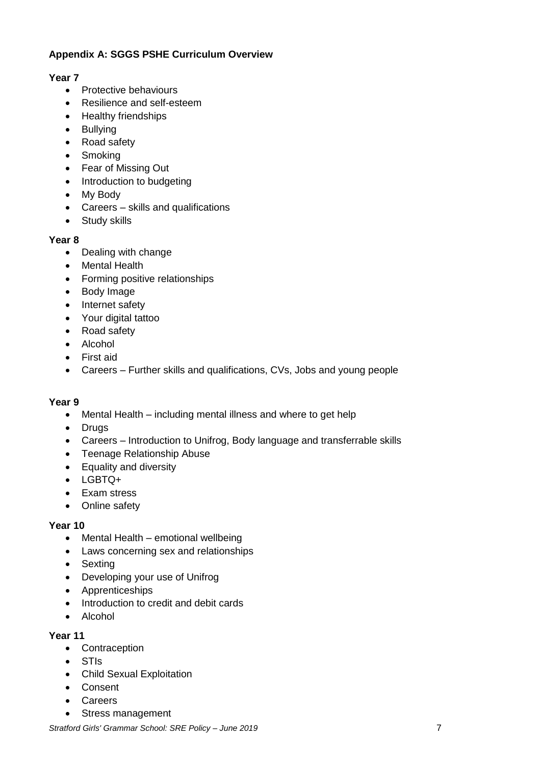# **Appendix A: SGGS PSHE Curriculum Overview**

#### **Year 7**

- Protective behaviours
- Resilience and self-esteem
- Healthy friendships
- Bullying
- Road safety
- Smoking
- Fear of Missing Out
- Introduction to budgeting
- My Body
- Careers skills and qualifications
- Study skills

#### **Year 8**

- Dealing with change
- Mental Health
- Forming positive relationships
- Body Image
- Internet safety
- Your digital tattoo
- Road safety
- Alcohol
- First aid
- Careers Further skills and qualifications, CVs, Jobs and young people

#### **Year 9**

- Mental Health including mental illness and where to get help
- Drugs
- Careers Introduction to Unifrog, Body language and transferrable skills
- Teenage Relationship Abuse
- Equality and diversity
- LGBTQ+
- Exam stress
- Online safety

#### **Year 10**

- $\bullet$  Mental Health emotional wellbeing
- Laws concerning sex and relationships
- Sexting
- Developing your use of Unifrog
- Apprenticeships
- Introduction to credit and debit cards
- Alcohol

#### **Year 11**

- Contraception
- STIs
- Child Sexual Exploitation
- Consent
- Careers
- Stress management

*Stratford Girls' Grammar School: SRE Policy – June 2019* 7